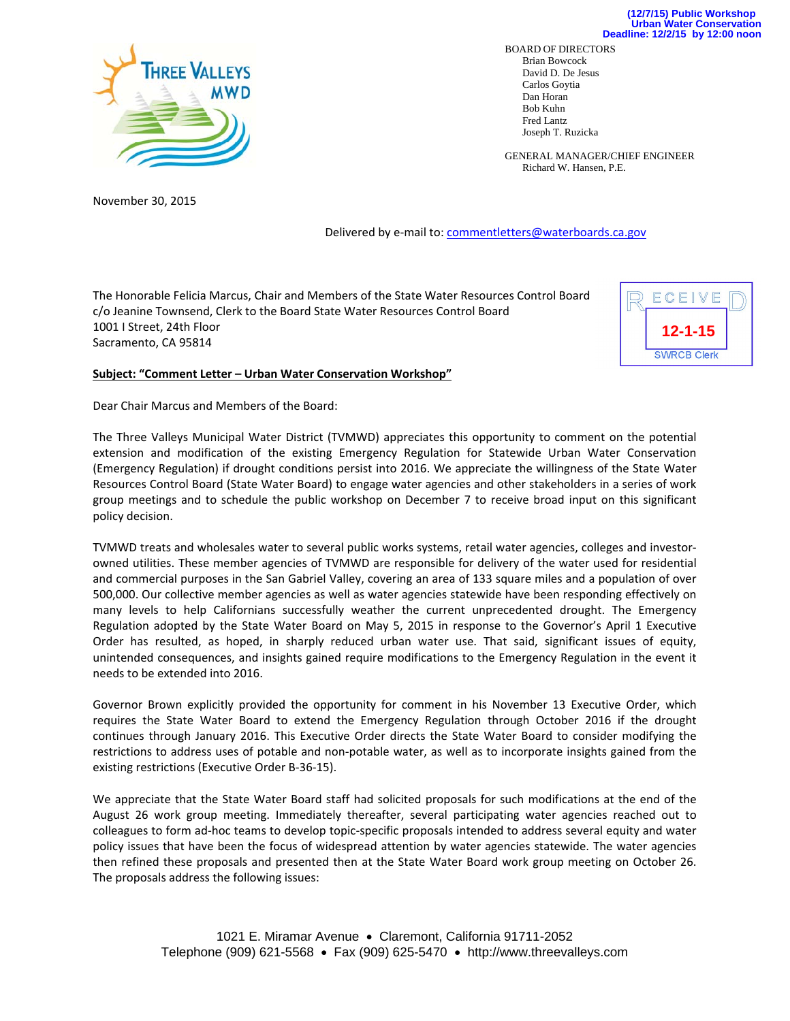

BOARD OF DIRECTORS Brian Bowcock David D. De Jesus Carlos Goytia Dan Horan Bob Kuhn Fred Lantz Joseph T. Ruzicka

GENERAL MANAGER/CHIEF ENGINEER Richard W. Hansen, P.E.

November 30, 2015

Delivered by e-mail to: commentletters@waterboards.ca.gov

The Honorable Felicia Marcus, Chair and Members of the State Water Resources Control Board c/o Jeanine Townsend, Clerk to the Board State Water Resources Control Board 1001 I Street, 24th Floor Sacramento, CA 95814



## **Subject: "Comment Letter – Urban Water Conservation Workshop"**

Dear Chair Marcus and Members of the Board:

The Three Valleys Municipal Water District (TVMWD) appreciates this opportunity to comment on the potential extension and modification of the existing Emergency Regulation for Statewide Urban Water Conservation (Emergency Regulation) if drought conditions persist into 2016. We appreciate the willingness of the State Water Resources Control Board (State Water Board) to engage water agencies and other stakeholders in a series of work group meetings and to schedule the public workshop on December 7 to receive broad input on this significant policy decision.

TVMWD treats and wholesales water to several public works systems, retail water agencies, colleges and investor‐ owned utilities. These member agencies of TVMWD are responsible for delivery of the water used for residential and commercial purposes in the San Gabriel Valley, covering an area of 133 square miles and a population of over 500,000. Our collective member agencies as well as water agencies statewide have been responding effectively on many levels to help Californians successfully weather the current unprecedented drought. The Emergency Regulation adopted by the State Water Board on May 5, 2015 in response to the Governor's April 1 Executive Order has resulted, as hoped, in sharply reduced urban water use. That said, significant issues of equity, unintended consequences, and insights gained require modifications to the Emergency Regulation in the event it needs to be extended into 2016.

Governor Brown explicitly provided the opportunity for comment in his November 13 Executive Order, which requires the State Water Board to extend the Emergency Regulation through October 2016 if the drought continues through January 2016. This Executive Order directs the State Water Board to consider modifying the restrictions to address uses of potable and non‐potable water, as well as to incorporate insights gained from the existing restrictions (Executive Order B‐36‐15).

We appreciate that the State Water Board staff had solicited proposals for such modifications at the end of the August 26 work group meeting. Immediately thereafter, several participating water agencies reached out to colleagues to form ad‐hoc teams to develop topic‐specific proposals intended to address several equity and water policy issues that have been the focus of widespread attention by water agencies statewide. The water agencies then refined these proposals and presented then at the State Water Board work group meeting on October 26. The proposals address the following issues: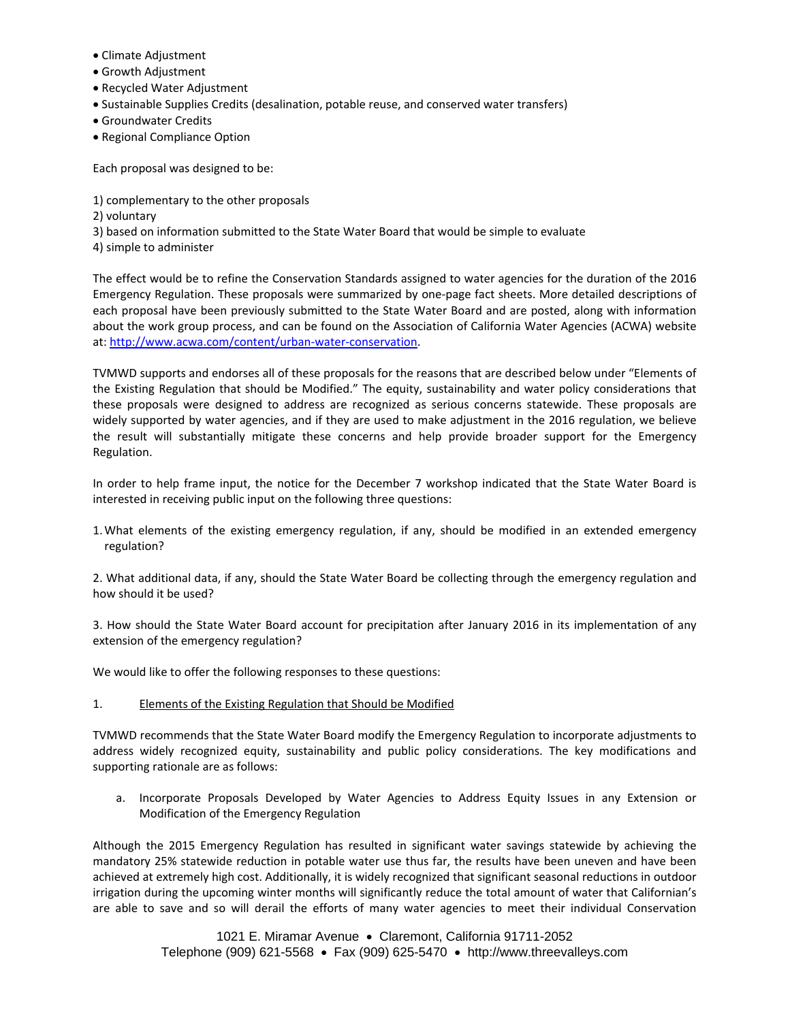- Climate Adjustment
- Growth Adjustment
- Recycled Water Adjustment
- Sustainable Supplies Credits (desalination, potable reuse, and conserved water transfers)
- Groundwater Credits
- Regional Compliance Option

Each proposal was designed to be:

- 1) complementary to the other proposals
- 2) voluntary
- 3) based on information submitted to the State Water Board that would be simple to evaluate
- 4) simple to administer

The effect would be to refine the Conservation Standards assigned to water agencies for the duration of the 2016 Emergency Regulation. These proposals were summarized by one‐page fact sheets. More detailed descriptions of each proposal have been previously submitted to the State Water Board and are posted, along with information about the work group process, and can be found on the Association of California Water Agencies (ACWA) website at: http://www.acwa.com/content/urban‐water‐conservation.

TVMWD supports and endorses all of these proposals for the reasons that are described below under "Elements of the Existing Regulation that should be Modified." The equity, sustainability and water policy considerations that these proposals were designed to address are recognized as serious concerns statewide. These proposals are widely supported by water agencies, and if they are used to make adjustment in the 2016 regulation, we believe the result will substantially mitigate these concerns and help provide broader support for the Emergency Regulation.

In order to help frame input, the notice for the December 7 workshop indicated that the State Water Board is interested in receiving public input on the following three questions:

1.What elements of the existing emergency regulation, if any, should be modified in an extended emergency regulation?

2. What additional data, if any, should the State Water Board be collecting through the emergency regulation and how should it be used?

3. How should the State Water Board account for precipitation after January 2016 in its implementation of any extension of the emergency regulation?

We would like to offer the following responses to these questions:

1. Elements of the Existing Regulation that Should be Modified

TVMWD recommends that the State Water Board modify the Emergency Regulation to incorporate adjustments to address widely recognized equity, sustainability and public policy considerations. The key modifications and supporting rationale are as follows:

a. Incorporate Proposals Developed by Water Agencies to Address Equity Issues in any Extension or Modification of the Emergency Regulation

Although the 2015 Emergency Regulation has resulted in significant water savings statewide by achieving the mandatory 25% statewide reduction in potable water use thus far, the results have been uneven and have been achieved at extremely high cost. Additionally, it is widely recognized that significant seasonal reductions in outdoor irrigation during the upcoming winter months will significantly reduce the total amount of water that Californian's are able to save and so will derail the efforts of many water agencies to meet their individual Conservation

> 1021 E. Miramar Avenue · Claremont, California 91711-2052 Telephone (909) 621-5568  $\bullet$  Fax (909) 625-5470  $\bullet$  http://www.threevalleys.com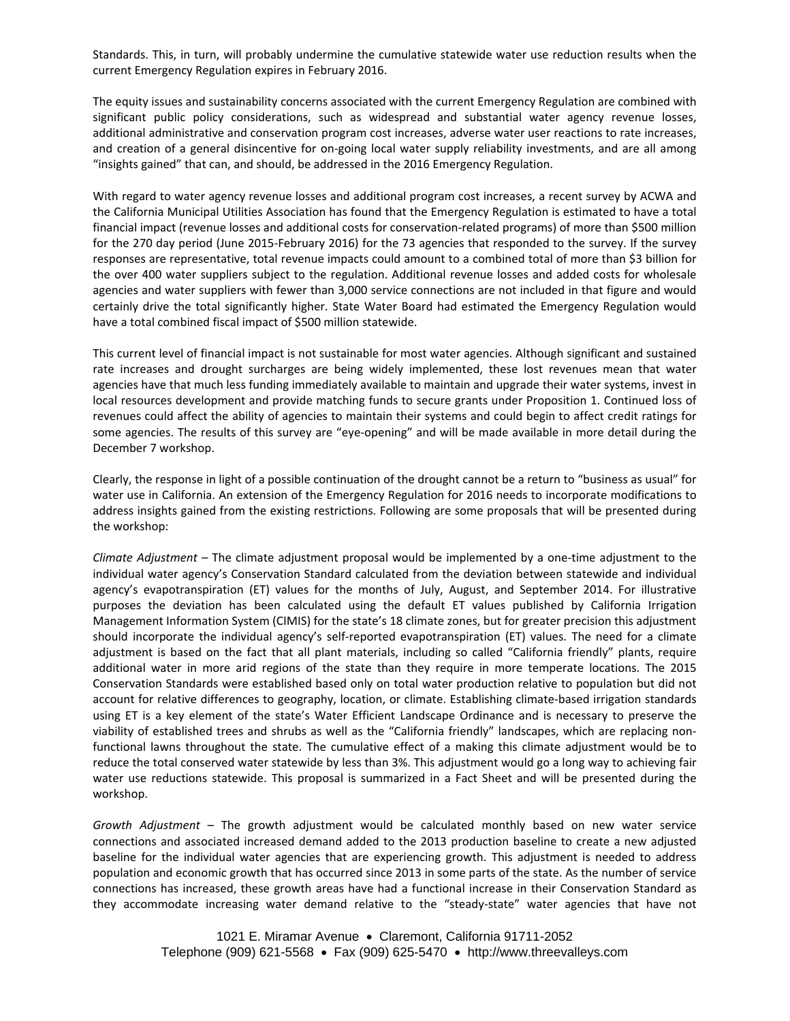Standards. This, in turn, will probably undermine the cumulative statewide water use reduction results when the current Emergency Regulation expires in February 2016.

The equity issues and sustainability concerns associated with the current Emergency Regulation are combined with significant public policy considerations, such as widespread and substantial water agency revenue losses, additional administrative and conservation program cost increases, adverse water user reactions to rate increases, and creation of a general disincentive for on-going local water supply reliability investments, and are all among "insights gained" that can, and should, be addressed in the 2016 Emergency Regulation.

With regard to water agency revenue losses and additional program cost increases, a recent survey by ACWA and the California Municipal Utilities Association has found that the Emergency Regulation is estimated to have a total financial impact (revenue losses and additional costs for conservation-related programs) of more than \$500 million for the 270 day period (June 2015‐February 2016) for the 73 agencies that responded to the survey. If the survey responses are representative, total revenue impacts could amount to a combined total of more than \$3 billion for the over 400 water suppliers subject to the regulation. Additional revenue losses and added costs for wholesale agencies and water suppliers with fewer than 3,000 service connections are not included in that figure and would certainly drive the total significantly higher. State Water Board had estimated the Emergency Regulation would have a total combined fiscal impact of \$500 million statewide.

This current level of financial impact is not sustainable for most water agencies. Although significant and sustained rate increases and drought surcharges are being widely implemented, these lost revenues mean that water agencies have that much less funding immediately available to maintain and upgrade their water systems, invest in local resources development and provide matching funds to secure grants under Proposition 1. Continued loss of revenues could affect the ability of agencies to maintain their systems and could begin to affect credit ratings for some agencies. The results of this survey are "eye-opening" and will be made available in more detail during the December 7 workshop.

Clearly, the response in light of a possible continuation of the drought cannot be a return to "business as usual" for water use in California. An extension of the Emergency Regulation for 2016 needs to incorporate modifications to address insights gained from the existing restrictions. Following are some proposals that will be presented during the workshop:

*Climate Adjustment* – The climate adjustment proposal would be implemented by a one‐time adjustment to the individual water agency's Conservation Standard calculated from the deviation between statewide and individual agency's evapotranspiration (ET) values for the months of July, August, and September 2014. For illustrative purposes the deviation has been calculated using the default ET values published by California Irrigation Management Information System (CIMIS) for the state's 18 climate zones, but for greater precision this adjustment should incorporate the individual agency's self-reported evapotranspiration (ET) values. The need for a climate adjustment is based on the fact that all plant materials, including so called "California friendly" plants, require additional water in more arid regions of the state than they require in more temperate locations. The 2015 Conservation Standards were established based only on total water production relative to population but did not account for relative differences to geography, location, or climate. Establishing climate‐based irrigation standards using ET is a key element of the state's Water Efficient Landscape Ordinance and is necessary to preserve the viability of established trees and shrubs as well as the "California friendly" landscapes, which are replacing non‐ functional lawns throughout the state. The cumulative effect of a making this climate adjustment would be to reduce the total conserved water statewide by less than 3%. This adjustment would go a long way to achieving fair water use reductions statewide. This proposal is summarized in a Fact Sheet and will be presented during the workshop.

*Growth Adjustment* – The growth adjustment would be calculated monthly based on new water service connections and associated increased demand added to the 2013 production baseline to create a new adjusted baseline for the individual water agencies that are experiencing growth. This adjustment is needed to address population and economic growth that has occurred since 2013 in some parts of the state. As the number of service connections has increased, these growth areas have had a functional increase in their Conservation Standard as they accommodate increasing water demand relative to the "steady‐state" water agencies that have not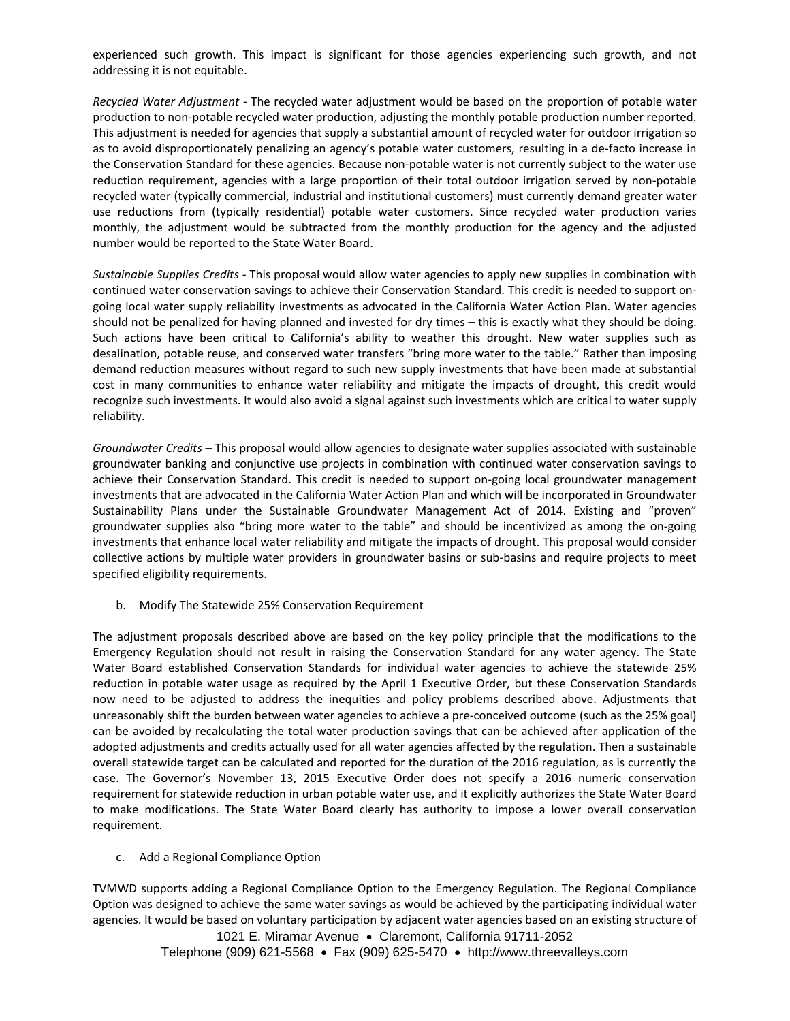experienced such growth. This impact is significant for those agencies experiencing such growth, and not addressing it is not equitable.

*Recycled Water Adjustment* ‐ The recycled water adjustment would be based on the proportion of potable water production to non‐potable recycled water production, adjusting the monthly potable production number reported. This adjustment is needed for agencies that supply a substantial amount of recycled water for outdoor irrigation so as to avoid disproportionately penalizing an agency's potable water customers, resulting in a de‐facto increase in the Conservation Standard for these agencies. Because non‐potable water is not currently subject to the water use reduction requirement, agencies with a large proportion of their total outdoor irrigation served by non‐potable recycled water (typically commercial, industrial and institutional customers) must currently demand greater water use reductions from (typically residential) potable water customers. Since recycled water production varies monthly, the adjustment would be subtracted from the monthly production for the agency and the adjusted number would be reported to the State Water Board.

*Sustainable Supplies Credits* ‐ This proposal would allow water agencies to apply new supplies in combination with continued water conservation savings to achieve their Conservation Standard. This credit is needed to support on‐ going local water supply reliability investments as advocated in the California Water Action Plan. Water agencies should not be penalized for having planned and invested for dry times – this is exactly what they should be doing. Such actions have been critical to California's ability to weather this drought. New water supplies such as desalination, potable reuse, and conserved water transfers "bring more water to the table." Rather than imposing demand reduction measures without regard to such new supply investments that have been made at substantial cost in many communities to enhance water reliability and mitigate the impacts of drought, this credit would recognize such investments. It would also avoid a signal against such investments which are critical to water supply reliability.

*Groundwater Credits* – This proposal would allow agencies to designate water supplies associated with sustainable groundwater banking and conjunctive use projects in combination with continued water conservation savings to achieve their Conservation Standard. This credit is needed to support on‐going local groundwater management investments that are advocated in the California Water Action Plan and which will be incorporated in Groundwater Sustainability Plans under the Sustainable Groundwater Management Act of 2014. Existing and "proven" groundwater supplies also "bring more water to the table" and should be incentivized as among the on‐going investments that enhance local water reliability and mitigate the impacts of drought. This proposal would consider collective actions by multiple water providers in groundwater basins or sub‐basins and require projects to meet specified eligibility requirements.

b. Modify The Statewide 25% Conservation Requirement

The adjustment proposals described above are based on the key policy principle that the modifications to the Emergency Regulation should not result in raising the Conservation Standard for any water agency. The State Water Board established Conservation Standards for individual water agencies to achieve the statewide 25% reduction in potable water usage as required by the April 1 Executive Order, but these Conservation Standards now need to be adjusted to address the inequities and policy problems described above. Adjustments that unreasonably shift the burden between water agencies to achieve a pre‐conceived outcome (such as the 25% goal) can be avoided by recalculating the total water production savings that can be achieved after application of the adopted adjustments and credits actually used for all water agencies affected by the regulation. Then a sustainable overall statewide target can be calculated and reported for the duration of the 2016 regulation, as is currently the case. The Governor's November 13, 2015 Executive Order does not specify a 2016 numeric conservation requirement for statewide reduction in urban potable water use, and it explicitly authorizes the State Water Board to make modifications. The State Water Board clearly has authority to impose a lower overall conservation requirement.

## c. Add a Regional Compliance Option

1021 E. Miramar Avenue · Claremont, California 91711-2052 TVMWD supports adding a Regional Compliance Option to the Emergency Regulation. The Regional Compliance Option was designed to achieve the same water savings as would be achieved by the participating individual water agencies. It would be based on voluntary participation by adjacent water agencies based on an existing structure of

Telephone (909) 621-5568  $\bullet$  Fax (909) 625-5470  $\bullet$  http://www.threevalleys.com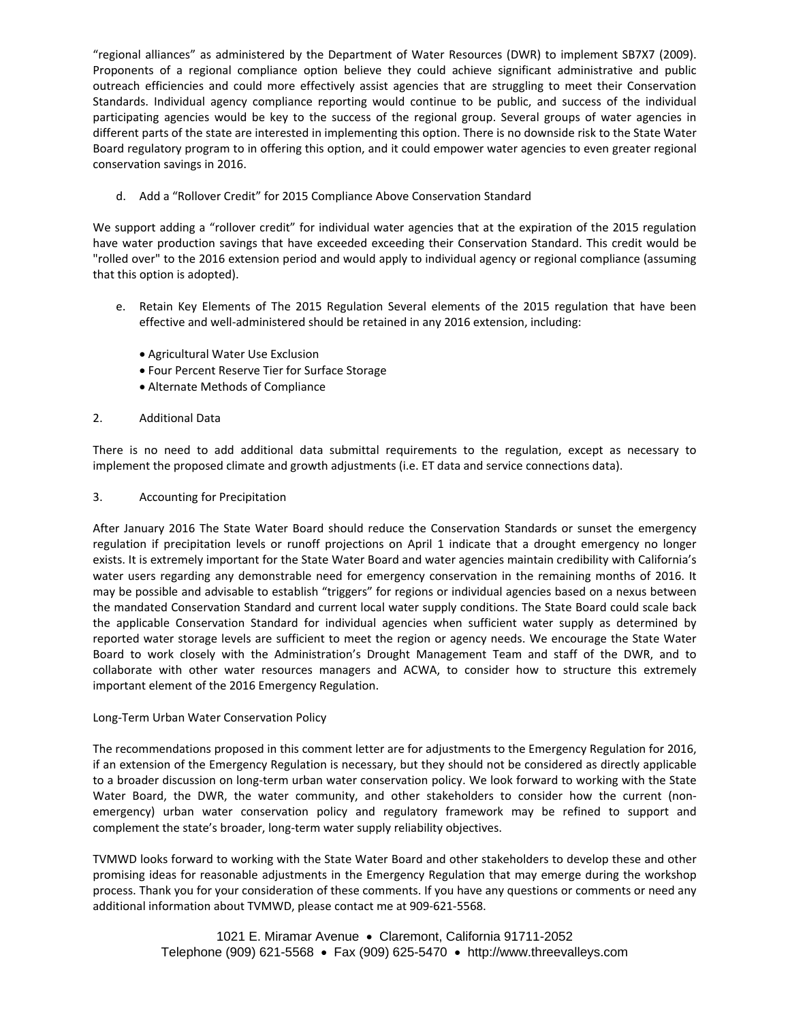"regional alliances" as administered by the Department of Water Resources (DWR) to implement SB7X7 (2009). Proponents of a regional compliance option believe they could achieve significant administrative and public outreach efficiencies and could more effectively assist agencies that are struggling to meet their Conservation Standards. Individual agency compliance reporting would continue to be public, and success of the individual participating agencies would be key to the success of the regional group. Several groups of water agencies in different parts of the state are interested in implementing this option. There is no downside risk to the State Water Board regulatory program to in offering this option, and it could empower water agencies to even greater regional conservation savings in 2016.

d. Add a "Rollover Credit" for 2015 Compliance Above Conservation Standard

We support adding a "rollover credit" for individual water agencies that at the expiration of the 2015 regulation have water production savings that have exceeded exceeding their Conservation Standard. This credit would be "rolled over" to the 2016 extension period and would apply to individual agency or regional compliance (assuming that this option is adopted).

- e. Retain Key Elements of The 2015 Regulation Several elements of the 2015 regulation that have been effective and well-administered should be retained in any 2016 extension, including:
	- Agricultural Water Use Exclusion
	- Four Percent Reserve Tier for Surface Storage
	- Alternate Methods of Compliance
- 2. Additional Data

There is no need to add additional data submittal requirements to the regulation, except as necessary to implement the proposed climate and growth adjustments (i.e. ET data and service connections data).

3. Accounting for Precipitation

After January 2016 The State Water Board should reduce the Conservation Standards or sunset the emergency regulation if precipitation levels or runoff projections on April 1 indicate that a drought emergency no longer exists. It is extremely important for the State Water Board and water agencies maintain credibility with California's water users regarding any demonstrable need for emergency conservation in the remaining months of 2016. It may be possible and advisable to establish "triggers" for regions or individual agencies based on a nexus between the mandated Conservation Standard and current local water supply conditions. The State Board could scale back the applicable Conservation Standard for individual agencies when sufficient water supply as determined by reported water storage levels are sufficient to meet the region or agency needs. We encourage the State Water Board to work closely with the Administration's Drought Management Team and staff of the DWR, and to collaborate with other water resources managers and ACWA, to consider how to structure this extremely important element of the 2016 Emergency Regulation.

## Long‐Term Urban Water Conservation Policy

The recommendations proposed in this comment letter are for adjustments to the Emergency Regulation for 2016, if an extension of the Emergency Regulation is necessary, but they should not be considered as directly applicable to a broader discussion on long‐term urban water conservation policy. We look forward to working with the State Water Board, the DWR, the water community, and other stakeholders to consider how the current (nonemergency) urban water conservation policy and regulatory framework may be refined to support and complement the state's broader, long-term water supply reliability objectives.

TVMWD looks forward to working with the State Water Board and other stakeholders to develop these and other promising ideas for reasonable adjustments in the Emergency Regulation that may emerge during the workshop process. Thank you for your consideration of these comments. If you have any questions or comments or need any additional information about TVMWD, please contact me at 909‐621‐5568.

> 1021 E. Miramar Avenue · Claremont, California 91711-2052 Telephone (909) 621-5568  $\bullet$  Fax (909) 625-5470  $\bullet$  http://www.threevalleys.com